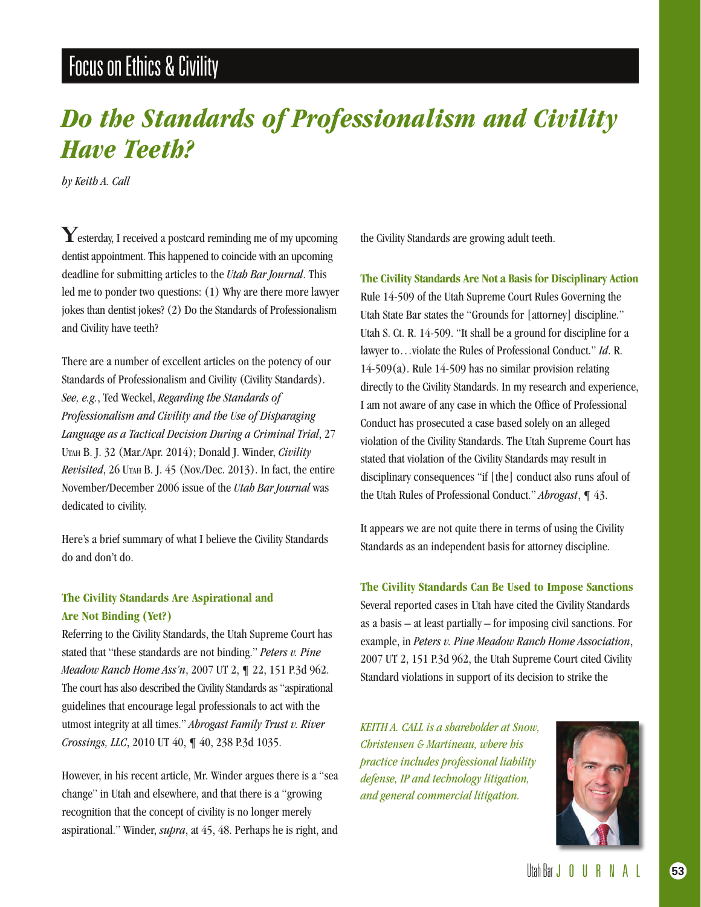# Focus on Ethics & Civility

# *Do the Standards of Professionalism and Civility Have Teeth?*

*by Keith A. Call*

Yesterday, I received a postcard reminding me of my upcoming dentist appointment. This happened to coincide with an upcoming deadline for submitting articles to the *Utah Bar Journal*. This led me to ponder two questions: (1) Why are there more lawyer jokes than dentist jokes? (2) Do the Standards of Professionalism and Civility have teeth?

There are a number of excellent articles on the potency of our Standards of Professionalism and Civility (Civility Standards). *See, e.g.*, Ted Weckel, *Regarding the Standards of Professionalism and Civility and the Use of Disparaging Language as a Tactical Decision During a Criminal Trial*, 27 Utah B. J. 32 (Mar./Apr. 2014); Donald J. Winder, *Civility Revisited*, 26 Utah B. J. 45 (Nov./Dec. 2013). In fact, the entire November/December 2006 issue of the *Utah Bar Journal* was dedicated to civility.

Here's a brief summary of what I believe the Civility Standards do and don't do.

### **The Civility Standards Are Aspirational and Are Not Binding (Yet?)**

Referring to the Civility Standards, the Utah Supreme Court has stated that "these standards are not binding." *Peters v. Pine Meadow Ranch Home Ass'n*, 2007 UT 2, ¶ 22, 151 P.3d 962. The court has also described the Civility Standards as "aspirational guidelines that encourage legal professionals to act with the utmost integrity at all times." *Abrogast Family Trust v. River Crossings, LLC*, 2010 UT 40, ¶ 40, 238 P.3d 1035.

However, in his recent article, Mr. Winder argues there is a "sea change" in Utah and elsewhere, and that there is a "growing recognition that the concept of civility is no longer merely aspirational." Winder, *supra*, at 45, 48. Perhaps he is right, and the Civility Standards are growing adult teeth.

**The Civility Standards Are Not a Basis for Disciplinary Action** Rule 14-509 of the Utah Supreme Court Rules Governing the Utah State Bar states the "Grounds for [attorney] discipline." Utah S. Ct. R. 14-509. "It shall be a ground for discipline for a lawyer to…violate the Rules of Professional Conduct." *Id*. R.  $14-509(a)$ . Rule  $14-509$  has no similar provision relating directly to the Civility Standards. In my research and experience, I am not aware of any case in which the Office of Professional Conduct has prosecuted a case based solely on an alleged violation of the Civility Standards. The Utah Supreme Court has stated that violation of the Civility Standards may result in disciplinary consequences "if [the] conduct also runs afoul of the Utah Rules of Professional Conduct." *Abrogast*, ¶ 43.

It appears we are not quite there in terms of using the Civility Standards as an independent basis for attorney discipline.

**The Civility Standards Can Be Used to Impose Sanctions** Several reported cases in Utah have cited the Civility Standards as a basis – at least partially – for imposing civil sanctions. For example, in *Peters v. Pine Meadow Ranch Home Association*, 2007 UT 2, 151 P.3d 962, the Utah Supreme Court cited Civility Standard violations in support of its decision to strike the

*KEITH A. CALL is a shareholder at Snow, Christensen & Martineau, where his practice includes professional liability defense, IP and technology litigation, and general commercial litigation.*